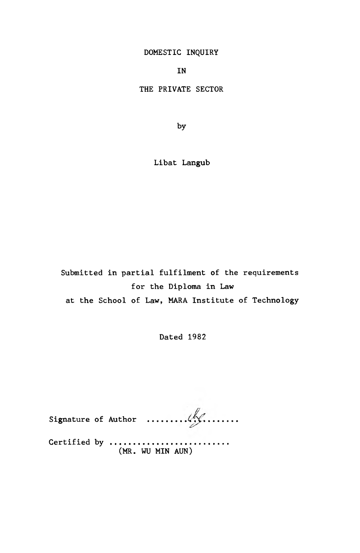## **DOMESTIC INQUIRY**

**IN**

**THE PRIVATE SECTOR**

**by**

**Libat Langub**

**Submitted in partial fulfilment of the requirements for the Diploma in Law at the School of Law, MARA Institute of Technology**

**Dated 1982**

**Signature of Author Certified by ..... (MR. WU MIN AUN)**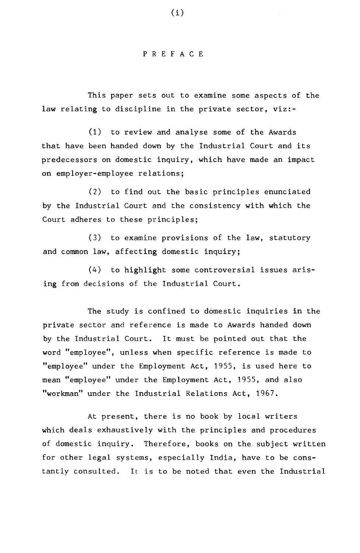### P R E F A C E

This paper sets out to examine some aspects of the law relating to discipline in the private sector, viz:-

(1) to review and analyse some of the Awards that have been handed down by the Industrial Court and its predecessors on domestic inquiry, which have made an impact on employer-employee relations;

(2) to find out the basic principles enunciated by the Industrial Court and the consistency with which the Court adheres to these principles;

(3) to examine provisions of the law, statutory and common law, affecting domestic inquiry;

(4) to highlight some controversial issues arising from decisions of the Industrial Court.

The study is confined to domestic inquiries in the private sector and reference is made to Awards handed down by the Industrial Court. It must be pointed out that the word "employee", unless when specific reference is made to "employee" under the Employment Act, 1955, is used here to mean "employee" under the Employment Act, 1955, and also "workman" under the Industrial Relations Act, 1967.

At present, there is no book by local writers which deals exhaustively with the principles and procedures of domestic inquiry. Therefore, books on the subject written for other legal systems, especially India, have to be constantly consulted. It is to be noted that even the Industrial

(i)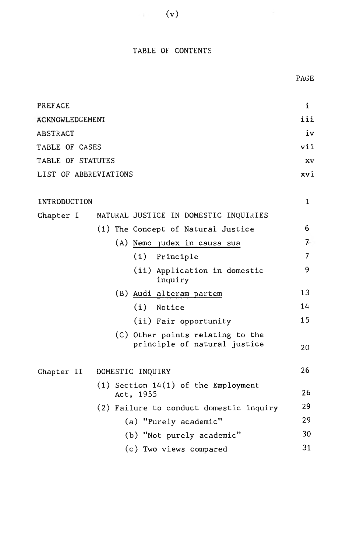# TABLE OF CONTENTS

 $(v)$ 

| <b>PREFACE</b>         |                                                                  | $\mathbf{i}$   |
|------------------------|------------------------------------------------------------------|----------------|
| <b>ACKNOWLEDGEMENT</b> |                                                                  | iii            |
| <b>ABSTRACT</b>        |                                                                  | iv             |
| TABLE OF CASES         |                                                                  | vii            |
| TABLE OF STATUTES      |                                                                  | <b>XV</b>      |
| LIST OF ABBREVIATIONS  |                                                                  | xvi            |
| INTRODUCTION           |                                                                  | $\mathbf{1}$   |
| Chapter I              | NATURAL JUSTICE IN DOMESTIC INQUIRIES                            |                |
|                        | (1) The Concept of Natural Justice                               | 6              |
|                        | (A) Nemo judex in causa sua                                      | $7 -$          |
|                        | (i) Principle                                                    | $\overline{7}$ |
|                        | (ii) Application in domestic<br>inquiry                          | 9              |
|                        | (B) Audi alteram partem                                          | 13             |
|                        | (i) Notice                                                       | 14             |
|                        | (ii) Fair opportunity                                            | 15             |
|                        | (C) Other points relating to the<br>principle of natural justice | 20             |
|                        | Chapter II DOMESTIC INQUIRY                                      | 26             |
|                        | $(1)$ Section 14 $(1)$ of the Employment<br>Act, 1955            | 26             |
|                        | (2) Failure to conduct domestic inquiry                          | 29             |
|                        | (a) "Purely academic"                                            | 29             |
|                        | (b) "Not purely academic"                                        | 30             |
|                        | (c) Two views compared                                           | 31             |

PAGE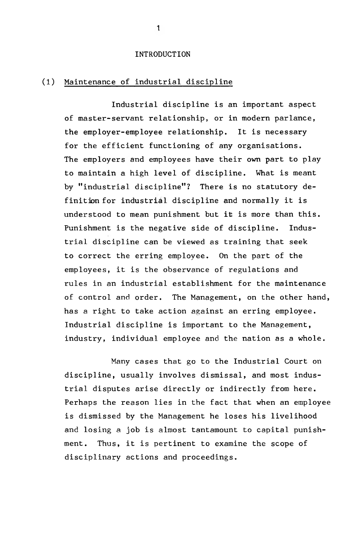### INTRODUCTION

### (1) Maintenance of industrial discipline

Industrial discipline is an important aspect of master-servant relationship, or in modern parlance, the employer-employee relationship. It is necessary for the efficient functioning of any organisations. The employers and employees have their own part to play to maintain a high level of discipline. What is meant by "industrial discipline"? There is no statutory definition for industrial discipline and normally it is understood to mean punishment but it is more than this. Punishment is the negative side of discipline. Industrial discipline can be viewed as training that seek to correct the erring employee. On the part of the employees, it is the observance of regulations and rules in an industrial establishment for the maintenance of control and order. The Management, on the other hand, has a right to take action against an erring employee. Industrial discipline is important to the Management, industry, individual employee and the nation as a whole.

Many cases that go to the Industrial Court on discipline, usually involves dismissal, and most industrial disputes arise directly or indirectly from here. Perhaps the reason lies in the fact that when an employee is dismissed by the Management he loses his livelihood and losing a job is almost tantamount to capital punishment. Thus, it is pertinent to examine the scope of disciplinary actions and proceedings.